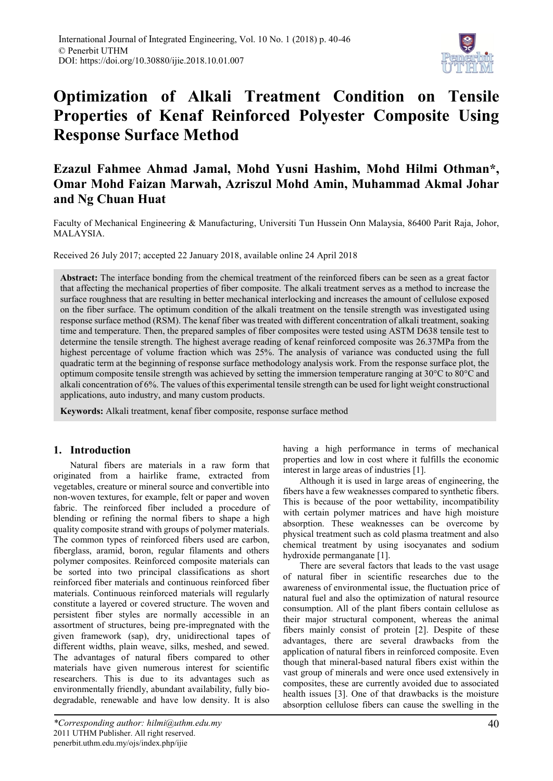

# **Optimization of Alkali Treatment Condition on Tensile Properties of Kenaf Reinforced Polyester Composite Using Response Surface Method**

# **Ezazul Fahmee Ahmad Jamal, Mohd Yusni Hashim, Mohd Hilmi Othman\*, Omar Mohd Faizan Marwah, Azriszul Mohd Amin, Muhammad Akmal Johar and Ng Chuan Huat**

Faculty of Mechanical Engineering & Manufacturing, Universiti Tun Hussein Onn Malaysia, 86400 Parit Raja, Johor, MALAYSIA.

Received 26 July 2017; accepted 22 January 2018, available online 24 April 2018

**Abstract:** The interface bonding from the chemical treatment of the reinforced fibers can be seen as a great factor that affecting the mechanical properties of fiber composite. The alkali treatment serves as a method to increase the surface roughness that are resulting in better mechanical interlocking and increases the amount of cellulose exposed on the fiber surface. The optimum condition of the alkali treatment on the tensile strength was investigated using response surface method (RSM). The kenaf fiber was treated with different concentration of alkali treatment, soaking time and temperature. Then, the prepared samples of fiber composites were tested using ASTM D638 tensile test to determine the tensile strength. The highest average reading of kenaf reinforced composite was 26.37MPa from the highest percentage of volume fraction which was 25%. The analysis of variance was conducted using the full quadratic term at the beginning of response surface methodology analysis work. From the response surface plot, the optimum composite tensile strength was achieved by setting the immersion temperature ranging at 30°C to 80°C and alkali concentration of 6%. The values of this experimental tensile strength can be used for light weight constructional applications, auto industry, and many custom products.

**Keywords:** Alkali treatment, kenaf fiber composite, response surface method

### **1. Introduction**

Natural fibers are materials in a raw form that originated from a hairlike frame, extracted from vegetables, creature or mineral source and convertible into non-woven textures, for example, felt or paper and woven fabric. The reinforced fiber included a procedure of blending or refining the normal fibers to shape a high quality composite strand with groups of polymer materials. The common types of reinforced fibers used are carbon, fiberglass, aramid, boron, regular filaments and others polymer composites. Reinforced composite materials can be sorted into two principal classifications as short reinforced fiber materials and continuous reinforced fiber materials. Continuous reinforced materials will regularly constitute a layered or covered structure. The woven and persistent fiber styles are normally accessible in an assortment of structures, being pre-impregnated with the given framework (sap), dry, unidirectional tapes of different widths, plain weave, silks, meshed, and sewed. The advantages of natural fibers compared to other materials have given numerous interest for scientific researchers. This is due to its advantages such as environmentally friendly, abundant availability, fully biodegradable, renewable and have low density. It is also

having a high performance in terms of mechanical properties and low in cost where it fulfills the economic interest in large areas of industries [1].

Although it is used in large areas of engineering, the fibers have a few weaknesses compared to synthetic fibers. This is because of the poor wettability, incompatibility with certain polymer matrices and have high moisture absorption. These weaknesses can be overcome by physical treatment such as cold plasma treatment and also chemical treatment by using isocyanates and sodium hydroxide permanganate [1].

There are several factors that leads to the vast usage of natural fiber in scientific researches due to the awareness of environmental issue, the fluctuation price of natural fuel and also the optimization of natural resource consumption. All of the plant fibers contain cellulose as their major structural component, whereas the animal fibers mainly consist of protein [2]. Despite of these advantages, there are several drawbacks from the application of natural fibers in reinforced composite. Even though that mineral-based natural fibers exist within the vast group of minerals and were once used extensively in composites, these are currently avoided due to associated health issues [3]. One of that drawbacks is the moisture absorption cellulose fibers can cause the swelling in the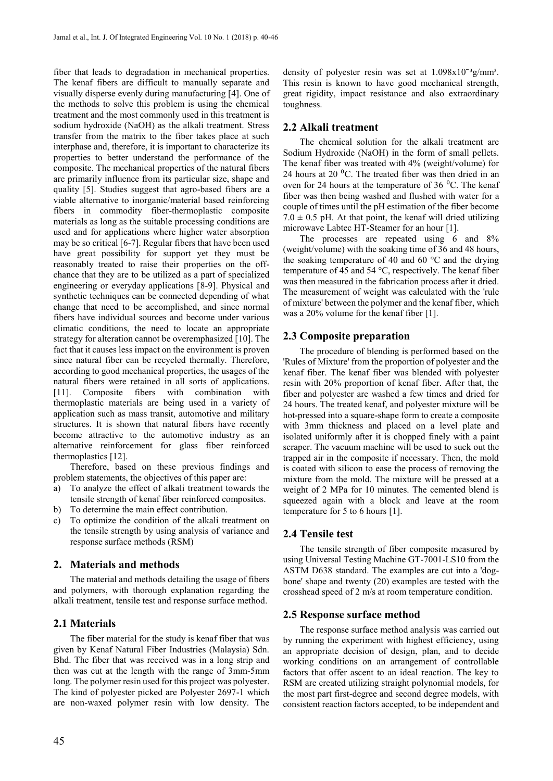fiber that leads to degradation in mechanical properties. The kenaf fibers are difficult to manually separate and visually disperse evenly during manufacturing [4]. One of the methods to solve this problem is using the chemical treatment and the most commonly used in this treatment is sodium hydroxide (NaOH) as the alkali treatment. Stress transfer from the matrix to the fiber takes place at such interphase and, therefore, it is important to characterize its properties to better understand the performance of the composite. The mechanical properties of the natural fibers are primarily influence from its particular size, shape and quality [5]. Studies suggest that agro-based fibers are a viable alternative to inorganic/material based reinforcing fibers in commodity fiber-thermoplastic composite materials as long as the suitable processing conditions are used and for applications where higher water absorption may be so critical [6-7]. Regular fibers that have been used have great possibility for support yet they must be reasonably treated to raise their properties on the offchance that they are to be utilized as a part of specialized engineering or everyday applications [8-9]. Physical and synthetic techniques can be connected depending of what change that need to be accomplished, and since normal fibers have individual sources and become under various climatic conditions, the need to locate an appropriate strategy for alteration cannot be overemphasized [10]. The fact that it causes less impact on the environment is proven since natural fiber can be recycled thermally. Therefore, according to good mechanical properties, the usages of the natural fibers were retained in all sorts of applications. [11]. Composite fibers with combination with thermoplastic materials are being used in a variety of application such as mass transit, automotive and military structures. It is shown that natural fibers have recently become attractive to the automotive industry as an alternative reinforcement for glass fiber reinforced thermoplastics [12].

Therefore, based on these previous findings and problem statements, the objectives of this paper are:

- a) To analyze the effect of alkali treatment towards the tensile strength of kenaf fiber reinforced composites.
- b) To determine the main effect contribution.
- c) To optimize the condition of the alkali treatment on the tensile strength by using analysis of variance and response surface methods (RSM)

#### **2. Materials and methods**

The material and methods detailing the usage of fibers and polymers, with thorough explanation regarding the alkali treatment, tensile test and response surface method.

#### **2.1 Materials**

The fiber material for the study is kenaf fiber that was given by Kenaf Natural Fiber Industries (Malaysia) Sdn. Bhd. The fiber that was received was in a long strip and then was cut at the length with the range of 3mm-5mm long. The polymer resin used for this project was polyester. The kind of polyester picked are Polyester 2697-1 which are non-waxed polymer resin with low density. The density of polyester resin was set at  $1.098x10^{-3}$ g/mm<sup>3</sup>. This resin is known to have good mechanical strength, great rigidity, impact resistance and also extraordinary toughness.

#### **2.2 Alkali treatment**

The chemical solution for the alkali treatment are Sodium Hydroxide (NaOH) in the form of small pellets. The kenaf fiber was treated with 4% (weight/volume) for 24 hours at 20  $^{0}$ C. The treated fiber was then dried in an oven for 24 hours at the temperature of 36  $^{\circ}$ C. The kenaf fiber was then being washed and flushed with water for a couple of times until the pH estimation of the fiber become  $7.0 \pm 0.5$  pH. At that point, the kenaf will dried utilizing microwave Labtec HT-Steamer for an hour [1].

The processes are repeated using 6 and 8% (weight/volume) with the soaking time of 36 and 48 hours, the soaking temperature of 40 and 60  $\degree$ C and the drying temperature of 45 and 54 °C, respectively. The kenaf fiber was then measured in the fabrication process after it dried. The measurement of weight was calculated with the 'rule of mixture' between the polymer and the kenaf fiber, which was a 20% volume for the kenaf fiber [1].

#### **2.3 Composite preparation**

The procedure of blending is performed based on the 'Rules of Mixture' from the proportion of polyester and the kenaf fiber. The kenaf fiber was blended with polyester resin with 20% proportion of kenaf fiber. After that, the fiber and polyester are washed a few times and dried for 24 hours. The treated kenaf, and polyester mixture will be hot-pressed into a square-shape form to create a composite with 3mm thickness and placed on a level plate and isolated uniformly after it is chopped finely with a paint scraper. The vacuum machine will be used to suck out the trapped air in the composite if necessary. Then, the mold is coated with silicon to ease the process of removing the mixture from the mold. The mixture will be pressed at a weight of 2 MPa for 10 minutes. The cemented blend is squeezed again with a block and leave at the room temperature for 5 to 6 hours [1].

#### **2.4 Tensile test**

The tensile strength of fiber composite measured by using Universal Testing Machine GT-7001-LS10 from the ASTM D638 standard. The examples are cut into a 'dogbone' shape and twenty (20) examples are tested with the crosshead speed of 2 m/s at room temperature condition.

#### **2.5 Response surface method**

The response surface method analysis was carried out by running the experiment with highest efficiency, using an appropriate decision of design, plan, and to decide working conditions on an arrangement of controllable factors that offer ascent to an ideal reaction. The key to RSM are created utilizing straight polynomial models, for the most part first-degree and second degree models, with consistent reaction factors accepted, to be independent and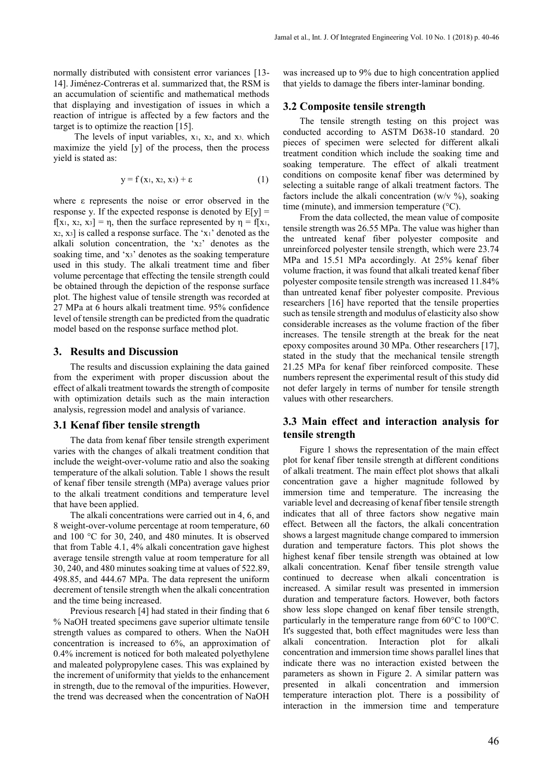normally distributed with consistent error variances [13- 14]. Jiménez-Contreras et al. summarized that, the RSM is an accumulation of scientific and mathematical methods that displaying and investigation of issues in which a reaction of intrigue is affected by a few factors and the target is to optimize the reaction [15].

The levels of input variables,  $x_1$ ,  $x_2$ , and  $x_3$ , which maximize the yield [y] of the process, then the process yield is stated as:

$$
y = f(x_1, x_2, x_3) + \varepsilon \tag{1}
$$

where ε represents the noise or error observed in the response y. If the expected response is denoted by  $E[y] =$  $f[x_1, x_2, x_3] = \eta$ , then the surface represented by  $\eta = f[x_1, x_2, x_3]$ x2, x3] is called a response surface. The 'x1' denoted as the alkali solution concentration, the 'x2' denotes as the soaking time, and 'x3' denotes as the soaking temperature used in this study. The alkali treatment time and fiber volume percentage that effecting the tensile strength could be obtained through the depiction of the response surface plot. The highest value of tensile strength was recorded at 27 MPa at 6 hours alkali treatment time. 95% confidence level of tensile strength can be predicted from the quadratic model based on the response surface method plot.

#### **3. Results and Discussion**

The results and discussion explaining the data gained from the experiment with proper discussion about the effect of alkali treatment towards the strength of composite with optimization details such as the main interaction analysis, regression model and analysis of variance.

#### **3.1 Kenaf fiber tensile strength**

The data from kenaf fiber tensile strength experiment varies with the changes of alkali treatment condition that include the weight-over-volume ratio and also the soaking temperature of the alkali solution. Table 1 shows the result of kenaf fiber tensile strength (MPa) average values prior to the alkali treatment conditions and temperature level that have been applied.

The alkali concentrations were carried out in 4, 6, and 8 weight-over-volume percentage at room temperature, 60 and 100 °C for 30, 240, and 480 minutes. It is observed that from Table 4.1, 4% alkali concentration gave highest average tensile strength value at room temperature for all 30, 240, and 480 minutes soaking time at values of 522.89, 498.85, and 444.67 MPa. The data represent the uniform decrement of tensile strength when the alkali concentration and the time being increased.

Previous research [4] had stated in their finding that 6 % NaOH treated specimens gave superior ultimate tensile strength values as compared to others. When the NaOH concentration is increased to 6%, an approximation of 0.4% increment is noticed for both maleated polyethylene and maleated polypropylene cases. This was explained by the increment of uniformity that yields to the enhancement in strength, due to the removal of the impurities. However, the trend was decreased when the concentration of NaOH was increased up to 9% due to high concentration applied that yields to damage the fibers inter-laminar bonding.

#### **3.2 Composite tensile strength**

The tensile strength testing on this project was conducted according to ASTM D638-10 standard. 20 pieces of specimen were selected for different alkali treatment condition which include the soaking time and soaking temperature. The effect of alkali treatment conditions on composite kenaf fiber was determined by selecting a suitable range of alkali treatment factors. The factors include the alkali concentration (w/v  $\%$ ), soaking time (minute), and immersion temperature (°C).

From the data collected, the mean value of composite tensile strength was 26.55 MPa. The value was higher than the untreated kenaf fiber polyester composite and unreinforced polyester tensile strength, which were 23.74 MPa and 15.51 MPa accordingly. At 25% kenaf fiber volume fraction, it was found that alkali treated kenaf fiber polyester composite tensile strength was increased 11.84% than untreated kenaf fiber polyester composite. Previous researchers [16] have reported that the tensile properties such as tensile strength and modulus of elasticity also show considerable increases as the volume fraction of the fiber increases. The tensile strength at the break for the neat epoxy composites around 30 MPa. Other researchers [17], stated in the study that the mechanical tensile strength 21.25 MPa for kenaf fiber reinforced composite. These numbers represent the experimental result of this study did not defer largely in terms of number for tensile strength values with other researchers.

## **3.3 Main effect and interaction analysis for tensile strength**

Figure 1 shows the representation of the main effect plot for kenaf fiber tensile strength at different conditions of alkali treatment. The main effect plot shows that alkali concentration gave a higher magnitude followed by immersion time and temperature. The increasing the variable level and decreasing of kenaf fiber tensile strength indicates that all of three factors show negative main effect. Between all the factors, the alkali concentration shows a largest magnitude change compared to immersion duration and temperature factors. This plot shows the highest kenaf fiber tensile strength was obtained at low alkali concentration. Kenaf fiber tensile strength value continued to decrease when alkali concentration is increased. A similar result was presented in immersion duration and temperature factors. However, both factors show less slope changed on kenaf fiber tensile strength, particularly in the temperature range from 60°C to 100°C. It's suggested that, both effect magnitudes were less than alkali concentration. Interaction plot for alkali concentration and immersion time shows parallel lines that indicate there was no interaction existed between the parameters as shown in Figure 2. A similar pattern was presented in alkali concentration and immersion temperature interaction plot. There is a possibility of interaction in the immersion time and temperature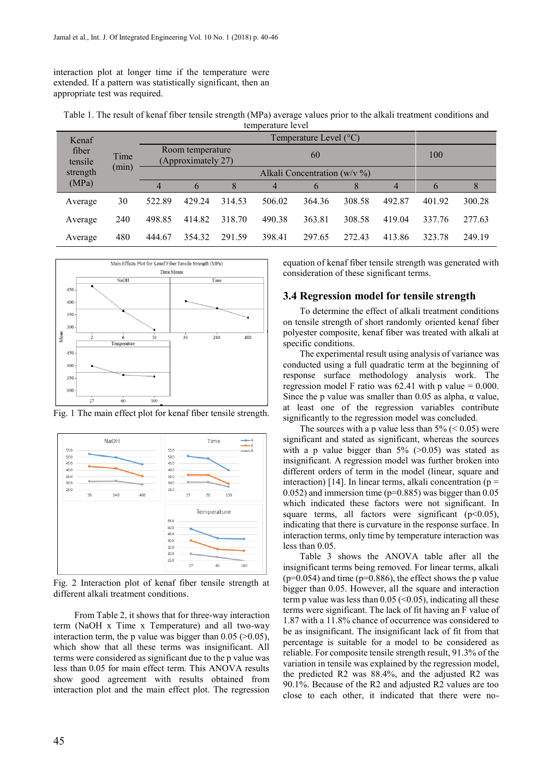interaction plot at longer time if the temperature were extended. If a pattern was statistically significant, then an appropriate test was required.

| Table 1. The result of kenaf fiber tensile strength (MPa) average values prior to the alkali treatment conditions and |
|-----------------------------------------------------------------------------------------------------------------------|
| temperature level                                                                                                     |

| Kenaf<br>fiber<br>tensile<br>strength<br>(MPa) | Time<br>(min) | Temperature Level $(^{\circ}C)$        |        |        |        |        |        |        |        |        |
|------------------------------------------------|---------------|----------------------------------------|--------|--------|--------|--------|--------|--------|--------|--------|
|                                                |               | Room temperature<br>(Approximately 27) |        |        | 60     |        |        | 100    |        |        |
|                                                |               | Alkali Concentration ( $w/v$ %)        |        |        |        |        |        |        |        |        |
|                                                |               | $\overline{4}$                         | 6      | 8      | 4      | 6      |        | 4      |        |        |
| Average                                        | 30            | 522.89                                 | 429.24 | 314.53 | 506.02 | 364.36 | 308.58 | 492.87 | 401.92 | 300.28 |
| Average                                        | 240           | 498.85                                 | 414.82 | 318.70 | 490.38 | 363.81 | 308.58 | 419.04 | 337.76 | 277.63 |
| Average                                        | 480           | 444.67                                 | 354.32 | 291.59 | 398.41 | 297.65 | 272.43 | 413.86 | 323.78 | 249.19 |



Fig. 1 The main effect plot for kenaf fiber tensile strength.



Fig. 2 Interaction plot of kenaf fiber tensile strength at different alkali treatment conditions.

From Table 2, it shows that for three-way interaction term (NaOH x Time x Temperature) and all two-way interaction term, the p value was bigger than  $0.05$  ( $>0.05$ ), which show that all these terms was insignificant. All terms were considered as significant due to the p value was less than 0.05 for main effect term. This ANOVA results show good agreement with results obtained from interaction plot and the main effect plot. The regression equation of kenaf fiber tensile strength was generated with consideration of these significant terms.

#### **3.4 Regression model for tensile strength**

To determine the effect of alkali treatment conditions on tensile strength of short randomly oriented kenaf fiber polyester composite, kenaf fiber was treated with alkali at specific conditions.

The experimental result using analysis of variance was conducted using a full quadratic term at the beginning of response surface methodology analysis work. The regression model F ratio was  $62.41$  with p value = 0.000. Since the p value was smaller than  $0.05$  as alpha,  $\alpha$  value, at least one of the regression variables contribute significantly to the regression model was concluded.

The sources with a p value less than  $5\%$  ( $\leq 0.05$ ) were significant and stated as significant, whereas the sources with a p value bigger than  $5\%$  ( $>0.05$ ) was stated as insignificant. A regression model was further broken into different orders of term in the model (linear, square and interaction) [14]. In linear terms, alkali concentration ( $p =$ 0.052) and immersion time (p=0.885) was bigger than 0.05 which indicated these factors were not significant. In square terms, all factors were significant  $(p<0.05)$ , indicating that there is curvature in the response surface. In interaction terms, only time by temperature interaction was less than 0.05.

Table 3 shows the ANOVA table after all the insignificant terms being removed. For linear terms, alkali  $(p=0.054)$  and time ( $p=0.886$ ), the effect shows the p value bigger than 0.05. However, all the square and interaction term p value was less than  $0.05$  (<0.05), indicating all these terms were significant. The lack of fit having an F value of 1.87 with a 11.8% chance of occurrence was considered to be as insignificant. The insignificant lack of fit from that percentage is suitable for a model to be considered as reliable. For composite tensile strength result, 91.3% of the variation in tensile was explained by the regression model, the predicted R2 was 88.4%, and the adjusted R2 was 90.1%. Because of the R2 and adjusted R2 values are too close to each other, it indicated that there were no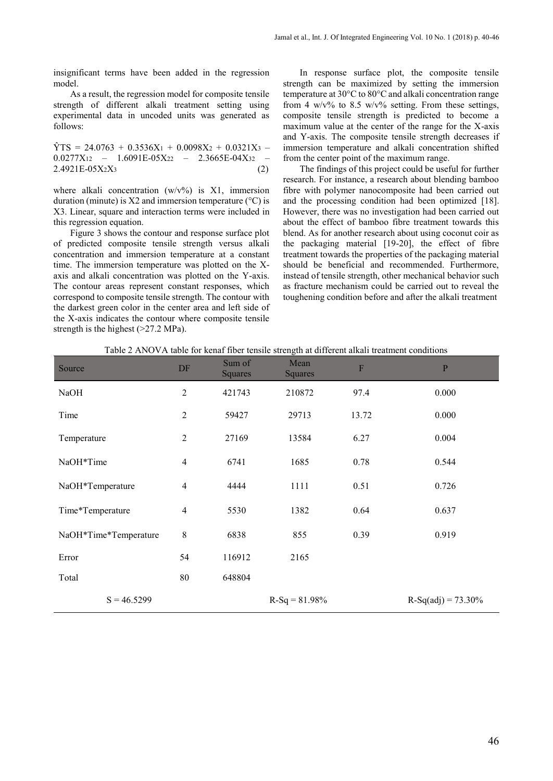insignificant terms have been added in the regression model.

As a result, the regression model for composite tensile strength of different alkali treatment setting using experimental data in uncoded units was generated as follows:

 $\hat{Y}$ TS = 24.0763 + 0.3536X<sub>1</sub> + 0.0098X<sub>2</sub> + 0.0321X<sub>3</sub> –  $0.0277X_{12}$  – 1.6091E-05X22 – 2.3665E-04X32 –  $2.4921E-05X_2X_3$  (2)

where alkali concentration  $(w/v\%)$  is X1, immersion duration (minute) is  $X2$  and immersion temperature ( $\rm{°C}$ ) is X3. Linear, square and interaction terms were included in this regression equation.

Figure 3 shows the contour and response surface plot of predicted composite tensile strength versus alkali concentration and immersion temperature at a constant time. The immersion temperature was plotted on the Xaxis and alkali concentration was plotted on the Y-axis. The contour areas represent constant responses, which correspond to composite tensile strength. The contour with the darkest green color in the center area and left side of the X-axis indicates the contour where composite tensile strength is the highest (>27.2 MPa).

In response surface plot, the composite tensile strength can be maximized by setting the immersion temperature at 30°C to 80°C and alkali concentration range from 4 w/v% to 8.5 w/v% setting. From these settings, composite tensile strength is predicted to become a maximum value at the center of the range for the X-axis and Y-axis. The composite tensile strength decreases if immersion temperature and alkali concentration shifted from the center point of the maximum range.

The findings of this project could be useful for further research. For instance, a research about blending bamboo fibre with polymer nanocomposite had been carried out and the processing condition had been optimized [18]. However, there was no investigation had been carried out about the effect of bamboo fibre treatment towards this blend. As for another research about using coconut coir as the packaging material [19-20], the effect of fibre treatment towards the properties of the packaging material should be beneficial and recommended. Furthermore, instead of tensile strength, other mechanical behavior such as fracture mechanism could be carried out to reveal the toughening condition before and after the alkali treatment

| Source                | DF             | Sum of<br><b>Squares</b> | Mean<br><b>Squares</b> | $\boldsymbol{\mathrm{F}}$ | $\mathbf{P}$          |
|-----------------------|----------------|--------------------------|------------------------|---------------------------|-----------------------|
| <b>NaOH</b>           | $\overline{2}$ | 421743                   | 210872                 | 97.4                      | 0.000                 |
| Time                  | 2              | 59427                    | 29713                  | 13.72                     | 0.000                 |
| Temperature           | $\overline{c}$ | 27169                    | 13584                  | 6.27                      | 0.004                 |
| NaOH*Time             | $\overline{4}$ | 6741                     | 1685                   | 0.78                      | 0.544                 |
| NaOH*Temperature      | $\overline{4}$ | 4444                     | 1111                   | 0.51                      | 0.726                 |
| Time*Temperature      | $\overline{4}$ | 5530                     | 1382                   | 0.64                      | 0.637                 |
| NaOH*Time*Temperature | 8              | 6838                     | 855                    | 0.39                      | 0.919                 |
| Error                 | 54             | 116912                   | 2165                   |                           |                       |
| Total                 | 80             | 648804                   |                        |                           |                       |
| $S = 46.5299$         |                |                          | $R-Sq = 81.98%$        |                           | $R-Sq(adj) = 73.30\%$ |

Table 2 ANOVA table for kenaf fiber tensile strength at different alkali treatment conditions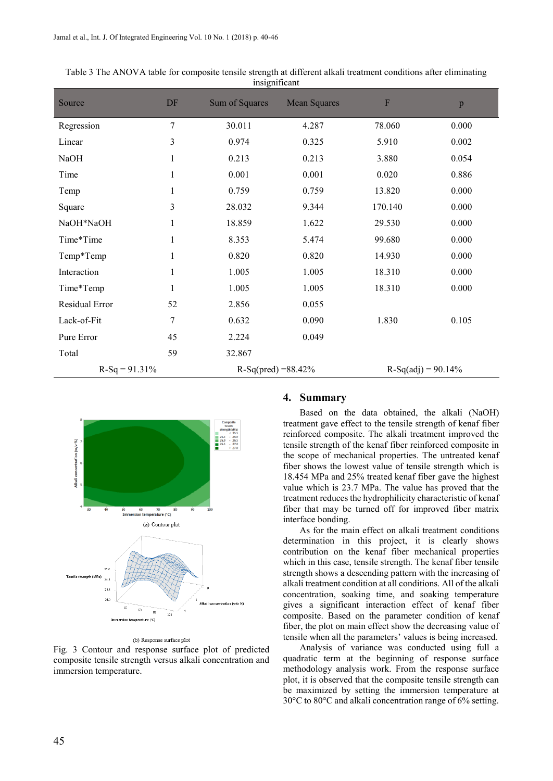| Source          | DF             | Sum of Squares        | <b>Mean Squares</b> | $\mathbf F$          | p     |  |
|-----------------|----------------|-----------------------|---------------------|----------------------|-------|--|
| Regression      | $\overline{7}$ | 30.011                | 4.287               | 78.060               | 0.000 |  |
| Linear          | 3              | 0.974                 | 0.325               | 5.910                | 0.002 |  |
| <b>NaOH</b>     | 1              | 0.213                 | 0.213               | 3.880                | 0.054 |  |
| Time            | 1              | 0.001                 | 0.001               | 0.020                | 0.886 |  |
| Temp            | 1              | 0.759                 | 0.759               | 13.820               | 0.000 |  |
| Square          | 3              | 28.032                | 9.344               | 170.140              | 0.000 |  |
| NaOH*NaOH       |                | 18.859                | 1.622               | 29.530               | 0.000 |  |
| Time*Time       |                | 8.353                 | 5.474               | 99.680               | 0.000 |  |
| Temp*Temp       |                | 0.820                 | 0.820               | 14.930               | 0.000 |  |
| Interaction     | 1              | 1.005                 | 1.005               | 18.310               | 0.000 |  |
| Time*Temp       | 1              | 1.005                 | 1.005               | 18.310               | 0.000 |  |
| Residual Error  | 52             | 2.856                 | 0.055               |                      |       |  |
| Lack-of-Fit     | 7              | 0.632                 | 0.090               | 1.830                | 0.105 |  |
| Pure Error      | 45             | 2.224                 | 0.049               |                      |       |  |
| Total           | 59             | 32.867                |                     |                      |       |  |
| $R-Sq = 91.31%$ |                | $R-Sq(pred) = 88.42%$ |                     | $R-Sq(adj) = 90.14%$ |       |  |

Table 3 The ANOVA table for composite tensile strength at different alkali treatment conditions after eliminating insignificant



#### (b) Response surface plot

Fig. 3 Contour and response surface plot of predicted composite tensile strength versus alkali concentration and immersion temperature.

#### **4. Summary**

Based on the data obtained, the alkali (NaOH) treatment gave effect to the tensile strength of kenaf fiber reinforced composite. The alkali treatment improved the tensile strength of the kenaf fiber reinforced composite in the scope of mechanical properties. The untreated kenaf fiber shows the lowest value of tensile strength which is 18.454 MPa and 25% treated kenaf fiber gave the highest value which is 23.7 MPa. The value has proved that the treatment reduces the hydrophilicity characteristic of kenaf fiber that may be turned off for improved fiber matrix interface bonding.

As for the main effect on alkali treatment conditions determination in this project, it is clearly shows contribution on the kenaf fiber mechanical properties which in this case, tensile strength. The kenaf fiber tensile strength shows a descending pattern with the increasing of alkali treatment condition at all conditions. All of the alkali concentration, soaking time, and soaking temperature gives a significant interaction effect of kenaf fiber composite. Based on the parameter condition of kenaf fiber, the plot on main effect show the decreasing value of tensile when all the parameters' values is being increased.

Analysis of variance was conducted using full a quadratic term at the beginning of response surface methodology analysis work. From the response surface plot, it is observed that the composite tensile strength can be maximized by setting the immersion temperature at 30°C to 80°C and alkali concentration range of 6% setting.